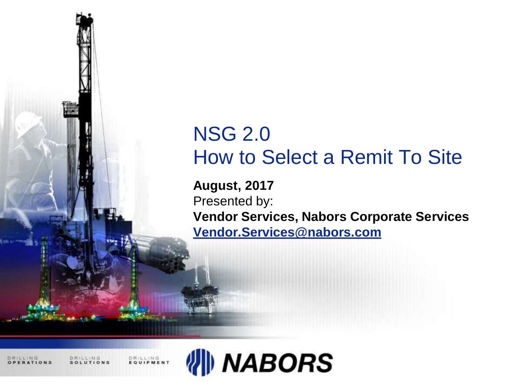# NSG 2.0 How to Select a Remit To Site

**August, 2017** Presented by: **Vendor Services, Nabors Corporate Services [Vendor.Services@nabors.com](mailto:Vendor.Services@nabors.com)**

DRILLING

DRILLING<br>EQUIPMENT

**DRILLING** 

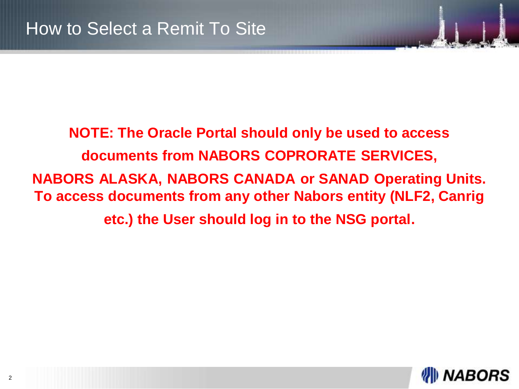**NOTE: The Oracle Portal should only be used to access documents from NABORS COPRORATE SERVICES, NABORS ALASKA, NABORS CANADA or SANAD Operating Units. To access documents from any other Nabors entity (NLF2, Canrig etc.) the User should log in to the NSG portal.**

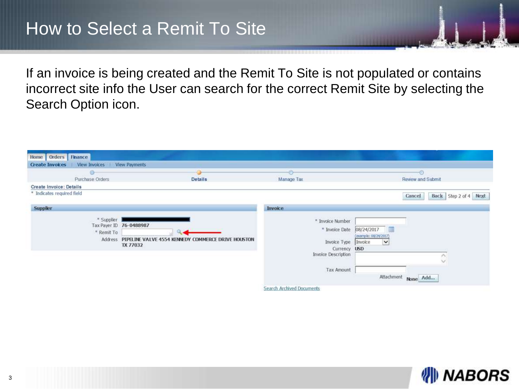If an invoice is being created and the Remit To Site is not populated or contains incorrect site info the User can search for the correct Remit Site by selecting the Search Option icon.

| Home Orders Finance                     |                                                                                                   |                                                                                                     |                                                                                                                   |  |
|-----------------------------------------|---------------------------------------------------------------------------------------------------|-----------------------------------------------------------------------------------------------------|-------------------------------------------------------------------------------------------------------------------|--|
| View Invoices<br><b>Create Invoices</b> | <b>View Payments</b>                                                                              |                                                                                                     |                                                                                                                   |  |
| ۰                                       |                                                                                                   |                                                                                                     |                                                                                                                   |  |
| Purchase Orders<br><b>Details</b>       |                                                                                                   | Manage Tax                                                                                          | Review and Submit                                                                                                 |  |
| Create Invoice: Details                 |                                                                                                   |                                                                                                     |                                                                                                                   |  |
| * Indicates regulred field              |                                                                                                   |                                                                                                     | Back Step 2 of 4 Next<br>Cancel                                                                                   |  |
| <b>Supplier</b>                         |                                                                                                   | Invoice                                                                                             |                                                                                                                   |  |
| * Supplier<br>* Remit To                | Tax Payer ID 76-0488987<br>Address PIPELINE VALVE 4554 KENNEDY COMMERCE DRIVE HOUSTON<br>TX 77032 | * Invoice Number<br>* Invoice Date<br>Invoice Type<br>Currency<br>Invoice Description<br>Tax Amount | 08/24/2017<br>(example: 08/24/2017)<br>$\check{}$<br>Invoice<br><b>USD</b><br>$\checkmark$<br>Attachment None Add |  |
|                                         |                                                                                                   | Search Archived Documents                                                                           |                                                                                                                   |  |

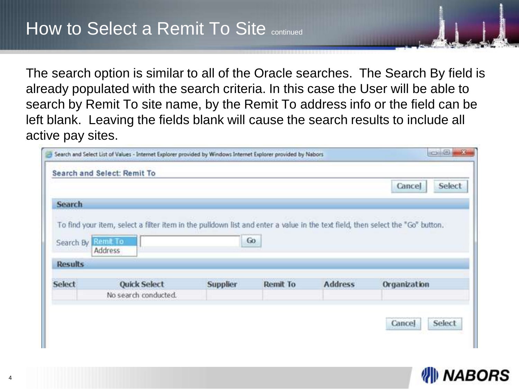The search option is similar to all of the Oracle searches. The Search By field is already populated with the search criteria. In this case the User will be able to search by Remit To site name, by the Remit To address info or the field can be left blank. Leaving the fields blank will cause the search results to include all active pay sites.

|                             |                                                                                                                                |                 |          |                | Cancel       | Select |
|-----------------------------|--------------------------------------------------------------------------------------------------------------------------------|-----------------|----------|----------------|--------------|--------|
| Search                      |                                                                                                                                |                 |          |                |              |        |
|                             |                                                                                                                                |                 |          |                |              |        |
|                             | To find your item, select a filter item in the pulldown list and enter a value in the text field, then select the "Go" button. |                 |          |                |              |        |
|                             |                                                                                                                                |                 |          |                |              |        |
|                             |                                                                                                                                |                 |          |                |              |        |
|                             | Remit To<br>Address                                                                                                            |                 | Go.      |                |              |        |
|                             |                                                                                                                                |                 |          |                |              |        |
| Search By<br><b>Results</b> |                                                                                                                                |                 |          |                |              |        |
|                             | <b>Quick Select</b>                                                                                                            | <b>Supplier</b> | Remit To | <b>Address</b> | Organization |        |
| <b>Select</b>               | No search conducted.                                                                                                           |                 |          |                |              |        |

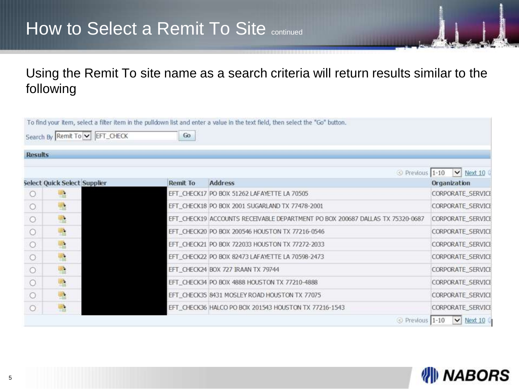## How to Select a Remit To Site continued

Using the Remit To site name as a search criteria will return results similar to the following

|                | Search By Remit To V EFT_CHECK | Go       |                                                                               |                   |
|----------------|--------------------------------|----------|-------------------------------------------------------------------------------|-------------------|
| <b>Results</b> |                                |          |                                                                               |                   |
|                |                                |          | Previous 1-10                                                                 | $\vee$ Next 10    |
|                | Select Quick Select Supplier   | Remit To | Address                                                                       | Organization      |
| $\circ$        | 嚂                              |          | EFT_CHECK17 PO BOX 51262 LAFAYETTE LA 70505                                   | CORPORATE_SERVICE |
| $\circ$        | 監                              |          | EFT_CHECK18 PO BOX 2001 SUGARLAND TX 77478-2001                               | CORPORATE_SERVICE |
| O              | 監                              |          | EFT_CHECK19 ACCOUNTS RECEIVABLE DEPARTMENT PO BOX 200687 DALLAS TX 75320-0687 | CORPORATE_SERVICE |
| $\circ$        | 尶                              |          | EFT_CHECK20 PO BOX 200546 HOUSTON TX 77216-0546                               | CORPORATE SERVICE |
| $\circ$        | $\partial \Sigma$              |          | EFT_CHECK21 PO BOX 722033 HOUSTON TX 77272-2033                               | CORPORATE_SERVICE |
| $\circ$        | 匙                              |          | EFT_CHECK22_PO BOX 82473 LAFAYETTE LA 70598-2473                              | CORPORATE_SERVICI |
| $\circ$        | 監                              |          | EFT_CHECK24 BOX 727 IRAAN TX 79744                                            | CORPORATE SERVICE |
| $\circ$        | 尶                              |          | EFT_CHECK34 PO BOX 4888 HOUSTON TX 77210-4888                                 | CORPORATE SERVICE |
| $\circ$        | 匙                              |          | EFT_CHECK35 8431 MOSLEY ROAD HOUSTON TX 77075                                 | CORPORATE_SERVICE |
| $\circ$        | k                              |          | EFT_CHECK36 HALCO PO BOX 201543 HOUSTON TX 77216-1543                         | CORPORATE_SERVICE |

#### **NABORS** ₩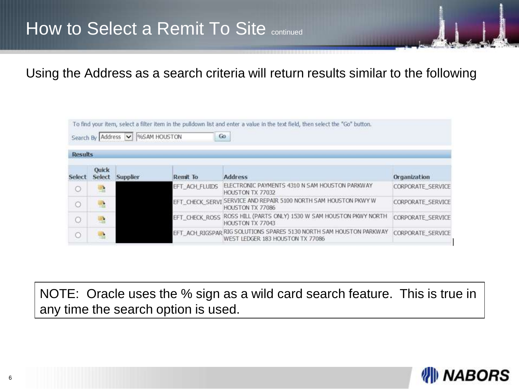Using the Address as a search criteria will return results similar to the following

|         | Search By Address             |                 | %SAM HOUSTON    | To find your item, select a filter item in the pulldown list and enter a value in the text field, then select the "Go" button.<br>Go. |                          |
|---------|-------------------------------|-----------------|-----------------|---------------------------------------------------------------------------------------------------------------------------------------|--------------------------|
|         | <b>Results</b>                |                 |                 |                                                                                                                                       |                          |
| Select  | <b>Quick</b><br><b>Select</b> | <b>Supplier</b> | <b>Remit To</b> | <b>Address</b>                                                                                                                        | Organization             |
| $\circ$ | 嚂                             |                 | EFT ACH FLUIDS  | ELECTRONIC PAYMENTS 4310 N SAM HOUSTON PARKWAY<br>HOUSTON TX 77032                                                                    | <b>CORPORATE SERVICE</b> |
| O       | 壏                             |                 | EFT CHECK SERVI | SERVICE AND REPAIR 5100 NORTH SAM HOUSTON PKWY W<br>HOUSTON TX 77086                                                                  | <b>CORPORATE SERVICE</b> |
| О       | 暭                             |                 | EFT CHECK ROSS  | ROSS HILL (PARTS ONLY) 1530 W SAM HOUSTON PKWY NORTH<br>HOUSTON TX 77043                                                              | <b>CORPORATE SERVICE</b> |
| O       | B                             |                 |                 | EFT_ACH_RIGSPAR RIG SOLUTIONS SPARES 5130 NORTH SAM HOUSTON PARKWAY<br>WEST LEDGER 183 HOUSTON TX 77086                               | <b>CORPORATE SERVICE</b> |

NOTE: Oracle uses the % sign as a wild card search feature. This is true in any time the search option is used.

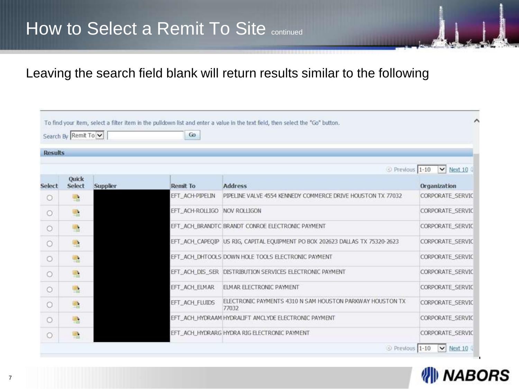## How to Select a Remit To Site continued

### Leaving the search field blank will return results similar to the following

|            | <b>Results</b>         |          |                 |                                                                              |                  |  |  |
|------------|------------------------|----------|-----------------|------------------------------------------------------------------------------|------------------|--|--|
|            |                        |          |                 | Previous 1-10                                                                | $\vee$ Next 10   |  |  |
| Select     | <b>Ouick</b><br>Select | Supplier | <b>Remit To</b> | <b>Address</b>                                                               | Organization     |  |  |
| О          | 嚸                      |          | EFT ACH-PIPELIN | PIPELINE VALVE 4554 KENNEDY COMMERCE DRIVE HOUSTON TX 77032                  | CORPORATE SERVIC |  |  |
| $\circ$    | 盛                      |          | EFT ACH-ROLLIGO | NOV ROLLIGON                                                                 | CORPORATE SERVIC |  |  |
| $\circ$    | 嚍                      |          |                 | EFT_ACH_BRANDTC_BRANDT_CONROE_ELECTRONIC_PAYMENT                             | CORPORATE SERVIC |  |  |
| $\bigcirc$ | 嚂                      |          |                 | EFT_ACH_CAPEOIP US RIG, CAPITAL EQUIPMENT PO BOX 202623 DALLAS TX 75320-2623 | CORPORATE SERVIC |  |  |
| О          | 嚥                      |          |                 | EFT. ACH. DHTOOLS DOWN HOLE TOOLS ELECTRONIC PAYMENT                         | CORPORATE SERVIC |  |  |
| $\circ$    | 蟸                      |          |                 | EFT ACH DIS SER DISTRIBUTION SERVICES ELECTRONIC PAYMENT                     | CORPORATE SERVIC |  |  |
| $\odot$    | 瑿                      |          | EFT ACH ELMAR   | <b>ELMAR ELECTRONIC PAYMENT</b>                                              | CORPORATE SERVIC |  |  |
| О          | 嚸                      |          | EFT ACH FLUIDS  | ELECTRONIC PAYMENTS 4310 N SAM HOUSTON PARKWAY HOUSTON TX<br>77032           | CORPORATE SERVIC |  |  |
| $\circ$    | 嚍                      |          |                 | EFT_ACH_HYDRAAM HYDRALIFT AMCLYDE ELECTRONIC PAYMENT                         | CORPORATE SERVIC |  |  |
| О          | P.                     |          |                 | EFT_ACH_HYDRARG HYDRA RIG ELECTRONIC PAYMENT                                 | CORPORATE SERVIC |  |  |

#### **NABORS** W